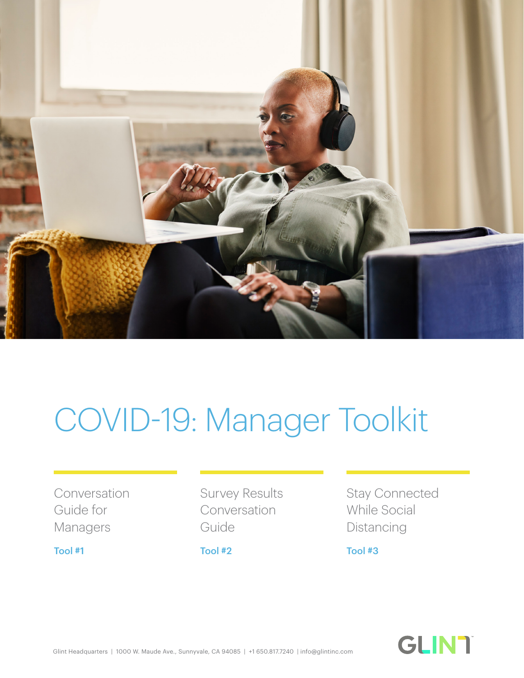

## COVID-19: Manager Toolkit

Conversation Guide for Managers

Survey Results Conversation Guide

Stay Connected While Social Distancing

[Tool #1](#page-1-0) [Tool #2](#page-2-0) [Tool #3](#page-3-0)

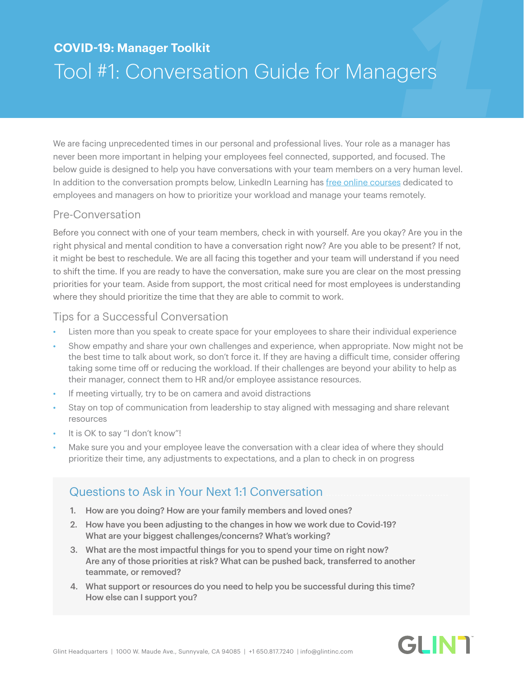# <span id="page-1-0"></span>**1000 COVID-19: Manager Toolkit**<br> **11** CONVETSATION Guide for Managers<br>
We are facing unprecedented times in our personal and professional lives. Your role as a manager has Tool #1: Conversation Guide for Managers

We are facing unprecedented times in our personal and professional lives. Your role as a manager has never been more important in helping your employees feel connected, supported, and focused. The below guide is designed to help you have conversations with your team members on a very human level. In addition to the conversation prompts below, LinkedIn Learning has [free online courses](https://www.linkedin.com/learning/paths/remote-working-setting-yourself-and-your-teams-up-for-success?u=104) dedicated to employees and managers on how to prioritize your workload and manage your teams remotely.

## Pre-Conversation

Before you connect with one of your team members, check in with yourself. Are you okay? Are you in the right physical and mental condition to have a conversation right now? Are you able to be present? If not, it might be best to reschedule. We are all facing this together and your team will understand if you need to shift the time. If you are ready to have the conversation, make sure you are clear on the most pressing priorities for your team. Aside from support, the most critical need for most employees is understanding where they should prioritize the time that they are able to commit to work.

## Tips for a Successful Conversation

- Listen more than you speak to create space for your employees to share their individual experience
- Show empathy and share your own challenges and experience, when appropriate. Now might not be the best time to talk about work, so don't force it. If they are having a difficult time, consider offering taking some time off or reducing the workload. If their challenges are beyond your ability to help as their manager, connect them to HR and/or employee assistance resources.
- If meeting virtually, try to be on camera and avoid distractions
- Stay on top of communication from leadership to stay aligned with messaging and share relevant resources
- It is OK to say "I don't know"!
- Make sure you and your employee leave the conversation with a clear idea of where they should prioritize their time, any adjustments to expectations, and a plan to check in on progress

## Questions to Ask in Your Next 1:1 Conversation

- 1. How are you doing? How are your family members and loved ones?
- 2. How have you been adjusting to the changes in how we work due to Covid-19? What are your biggest challenges/concerns? What's working?
- 3. What are the most impactful things for you to spend your time on right now? Are any of those priorities at risk? What can be pushed back, transferred to another teammate, or removed?
- 4. What support or resources do you need to help you be successful during this time? How else can I support you?

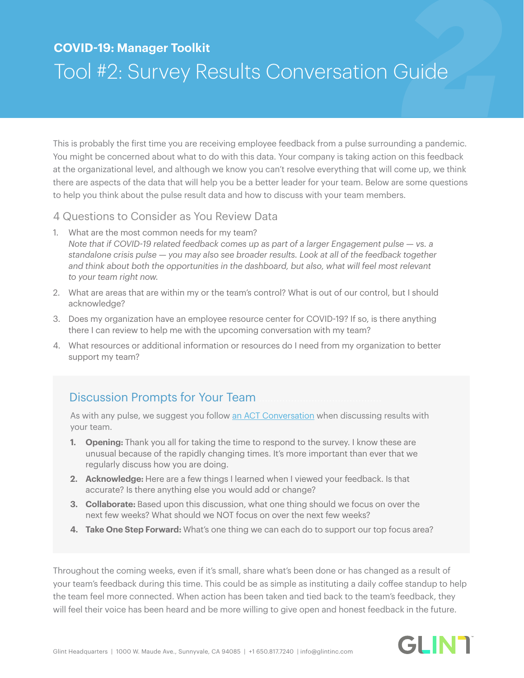# <span id="page-2-0"></span>*2* **COVID-19: Manager Toolkit** Tool #2: Survey Results Conversation Guide

This is probably the first time you are receiving employee feedback from a pulse surrounding a pandemic. You might be concerned about what to do with this data. Your company is taking action on this feedback at the organizational level, and although we know you can't resolve everything that will come up, we think there are aspects of the data that will help you be a better leader for your team. Below are some questions to help you think about the pulse result data and how to discuss with your team members.

4 Questions to Consider as You Review Data

- 1. What are the most common needs for my team? *Note that if COVID-19 related feedback comes up as part of a larger Engagement pulse — vs. a standalone crisis pulse — you may also see broader results. Look at all of the feedback together*  and think about both the opportunities in the dashboard, but also, what will feel most relevant *to your team right now.*
- 2. What are areas that are within my or the team's control? What is out of our control, but I should acknowledge?
- 3. Does my organization have an employee resource center for COVID-19? If so, is there anything there I can review to help me with the upcoming conversation with my team?
- 4. What resources or additional information or resources do I need from my organization to better support my team?

## Discussion Prompts for Your Team

As with any pulse, we suggest you follow [an ACT Conversation](https://www.glintinc.com/wp-content/uploads/2019/10/TurnFeedbackIntoAction_Glint.pdf) when discussing results with your team.

- **1. Opening:** Thank you all for taking the time to respond to the survey. I know these are unusual because of the rapidly changing times. It's more important than ever that we regularly discuss how you are doing.
- **2. Acknowledge:** Here are a few things I learned when I viewed your feedback. Is that accurate? Is there anything else you would add or change?
- **3. Collaborate:** Based upon this discussion, what one thing should we focus on over the next few weeks? What should we NOT focus on over the next few weeks?
- **4. Take One Step Forward:** What's one thing we can each do to support our top focus area?

Throughout the coming weeks, even if it's small, share what's been done or has changed as a result of your team's feedback during this time. This could be as simple as instituting a daily coffee standup to help the team feel more connected. When action has been taken and tied back to the team's feedback, they will feel their voice has been heard and be more willing to give open and honest feedback in the future.